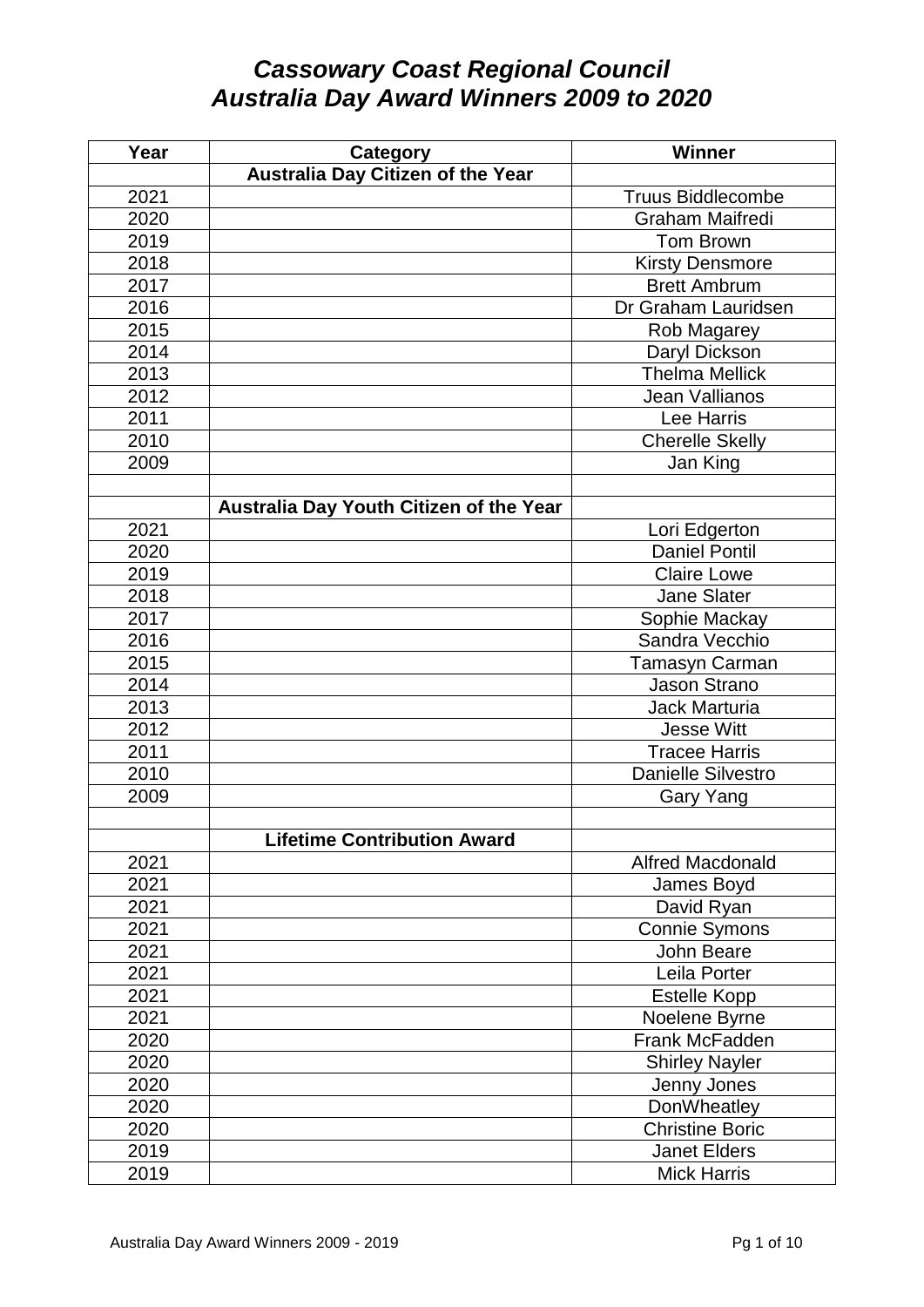## *Cassowary Coast Regional Council Australia Day Award Winners 2009 to 2020*

| Year | <b>Category</b>                         | <b>Winner</b>             |
|------|-----------------------------------------|---------------------------|
|      | Australia Day Citizen of the Year       |                           |
| 2021 |                                         | <b>Truus Biddlecombe</b>  |
| 2020 |                                         | <b>Graham Maifredi</b>    |
| 2019 |                                         | Tom Brown                 |
| 2018 |                                         | <b>Kirsty Densmore</b>    |
| 2017 |                                         | <b>Brett Ambrum</b>       |
| 2016 |                                         | Dr Graham Lauridsen       |
| 2015 |                                         | Rob Magarey               |
| 2014 |                                         | Daryl Dickson             |
| 2013 |                                         | <b>Thelma Mellick</b>     |
| 2012 |                                         | Jean Vallianos            |
| 2011 |                                         | Lee Harris                |
| 2010 |                                         | <b>Cherelle Skelly</b>    |
| 2009 |                                         | Jan King                  |
|      |                                         |                           |
|      | Australia Day Youth Citizen of the Year |                           |
| 2021 |                                         | Lori Edgerton             |
| 2020 |                                         | <b>Daniel Pontil</b>      |
| 2019 |                                         | <b>Claire Lowe</b>        |
| 2018 |                                         | <b>Jane Slater</b>        |
| 2017 |                                         | Sophie Mackay             |
| 2016 |                                         | Sandra Vecchio            |
| 2015 |                                         | Tamasyn Carman            |
| 2014 |                                         | Jason Strano              |
| 2013 |                                         | <b>Jack Marturia</b>      |
| 2012 |                                         | <b>Jesse Witt</b>         |
| 2011 |                                         | <b>Tracee Harris</b>      |
| 2010 |                                         | <b>Danielle Silvestro</b> |
| 2009 |                                         | Gary Yang                 |
|      |                                         |                           |
|      | <b>Lifetime Contribution Award</b>      |                           |
| 2021 |                                         | <b>Alfred Macdonald</b>   |
| 2021 |                                         | James Boyd                |
| 2021 |                                         | David Ryan                |
| 2021 |                                         | Connie Symons             |
| 2021 |                                         | John Beare                |
| 2021 |                                         | Leila Porter              |
| 2021 |                                         | <b>Estelle Kopp</b>       |
| 2021 |                                         | Noelene Byrne             |
| 2020 |                                         | Frank McFadden            |
| 2020 |                                         | <b>Shirley Nayler</b>     |
| 2020 |                                         | Jenny Jones               |
| 2020 |                                         | DonWheatley               |
| 2020 |                                         | <b>Christine Boric</b>    |
| 2019 |                                         | <b>Janet Elders</b>       |
| 2019 |                                         | <b>Mick Harris</b>        |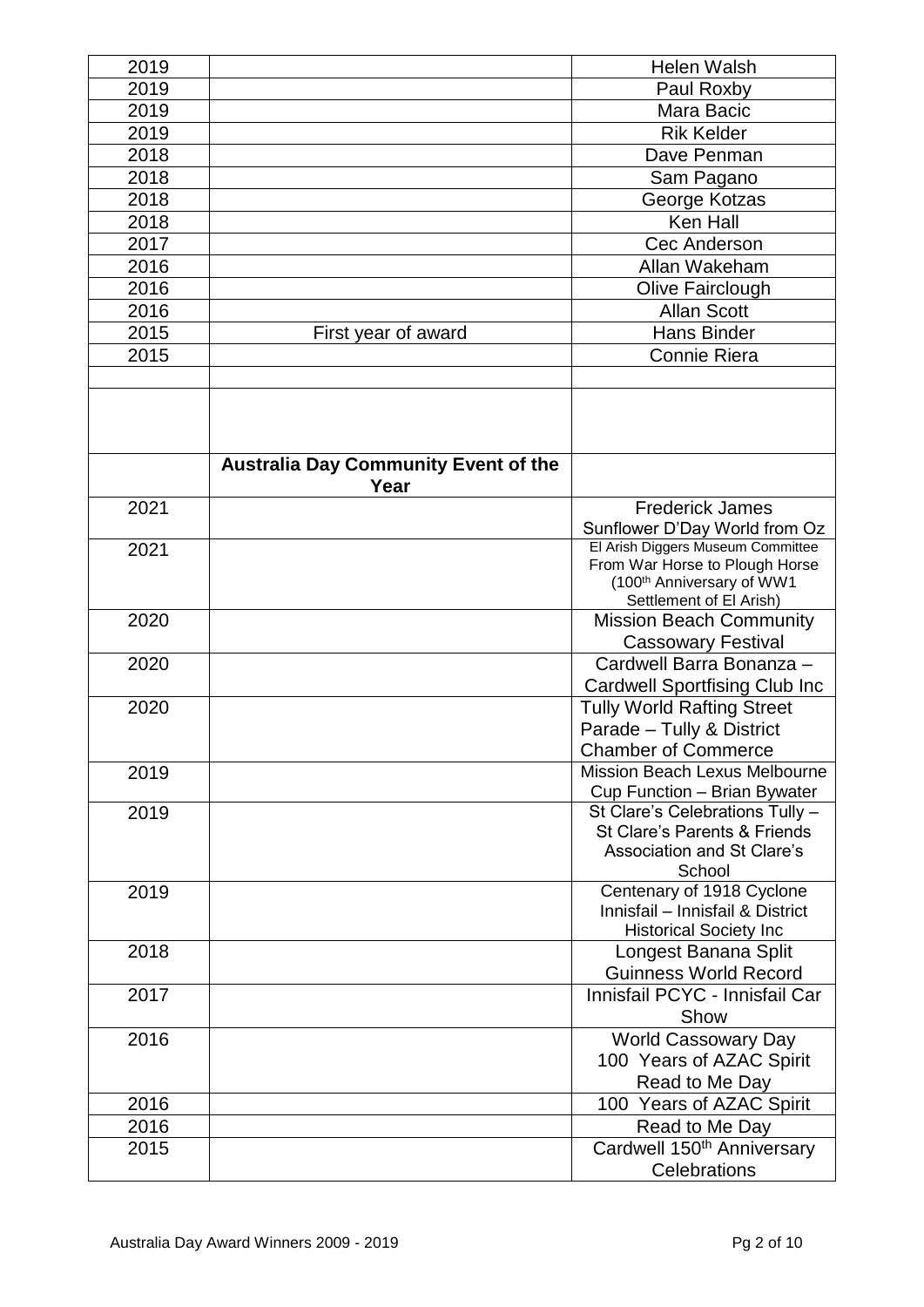| 2019 |                                                     | <b>Helen Walsh</b>                                                      |
|------|-----------------------------------------------------|-------------------------------------------------------------------------|
| 2019 |                                                     | Paul Roxby                                                              |
| 2019 |                                                     | Mara Bacic                                                              |
| 2019 |                                                     | <b>Rik Kelder</b>                                                       |
| 2018 |                                                     | Dave Penman                                                             |
| 2018 |                                                     | Sam Pagano                                                              |
| 2018 |                                                     | George Kotzas                                                           |
| 2018 |                                                     | Ken Hall                                                                |
| 2017 |                                                     | Cec Anderson                                                            |
| 2016 |                                                     | Allan Wakeham                                                           |
| 2016 |                                                     | Olive Fairclough                                                        |
| 2016 |                                                     | <b>Allan Scott</b>                                                      |
| 2015 | First year of award                                 | <b>Hans Binder</b>                                                      |
| 2015 |                                                     | <b>Connie Riera</b>                                                     |
|      |                                                     |                                                                         |
|      |                                                     |                                                                         |
|      |                                                     |                                                                         |
|      | <b>Australia Day Community Event of the</b><br>Year |                                                                         |
| 2021 |                                                     | <b>Frederick James</b>                                                  |
|      |                                                     | Sunflower D'Day World from Oz                                           |
| 2021 |                                                     | El Arish Diggers Museum Committee                                       |
|      |                                                     | From War Horse to Plough Horse<br>(100 <sup>th</sup> Anniversary of WW1 |
|      |                                                     | Settlement of El Arish)                                                 |
| 2020 |                                                     | <b>Mission Beach Community</b>                                          |
|      |                                                     | <b>Cassowary Festival</b>                                               |
| 2020 |                                                     | Cardwell Barra Bonanza -                                                |
|      |                                                     | <b>Cardwell Sportfising Club Inc</b>                                    |
| 2020 |                                                     | <b>Tully World Rafting Street</b>                                       |
|      |                                                     | Parade - Tully & District                                               |
|      |                                                     | <b>Chamber of Commerce</b>                                              |
| 2019 |                                                     | Mission Beach Lexus Melbourne                                           |
|      |                                                     | Cup Function - Brian Bywater                                            |
| 2019 |                                                     | St Clare's Celebrations Tully -                                         |
|      |                                                     | St Clare's Parents & Friends                                            |
|      |                                                     | <b>Association and St Clare's</b><br>School                             |
| 2019 |                                                     | Centenary of 1918 Cyclone                                               |
|      |                                                     | Innisfail - Innisfail & District                                        |
|      |                                                     | <b>Historical Society Inc</b>                                           |
| 2018 |                                                     | Longest Banana Split                                                    |
|      |                                                     | <b>Guinness World Record</b>                                            |
| 2017 |                                                     | Innisfail PCYC - Innisfail Car                                          |
|      |                                                     | Show                                                                    |
| 2016 |                                                     | <b>World Cassowary Day</b>                                              |
|      |                                                     | 100 Years of AZAC Spirit                                                |
|      |                                                     | Read to Me Day                                                          |
| 2016 |                                                     | 100 Years of AZAC Spirit                                                |
| 2016 |                                                     | Read to Me Day                                                          |
| 2015 |                                                     | Cardwell 150 <sup>th</sup> Anniversary                                  |
|      |                                                     | Celebrations                                                            |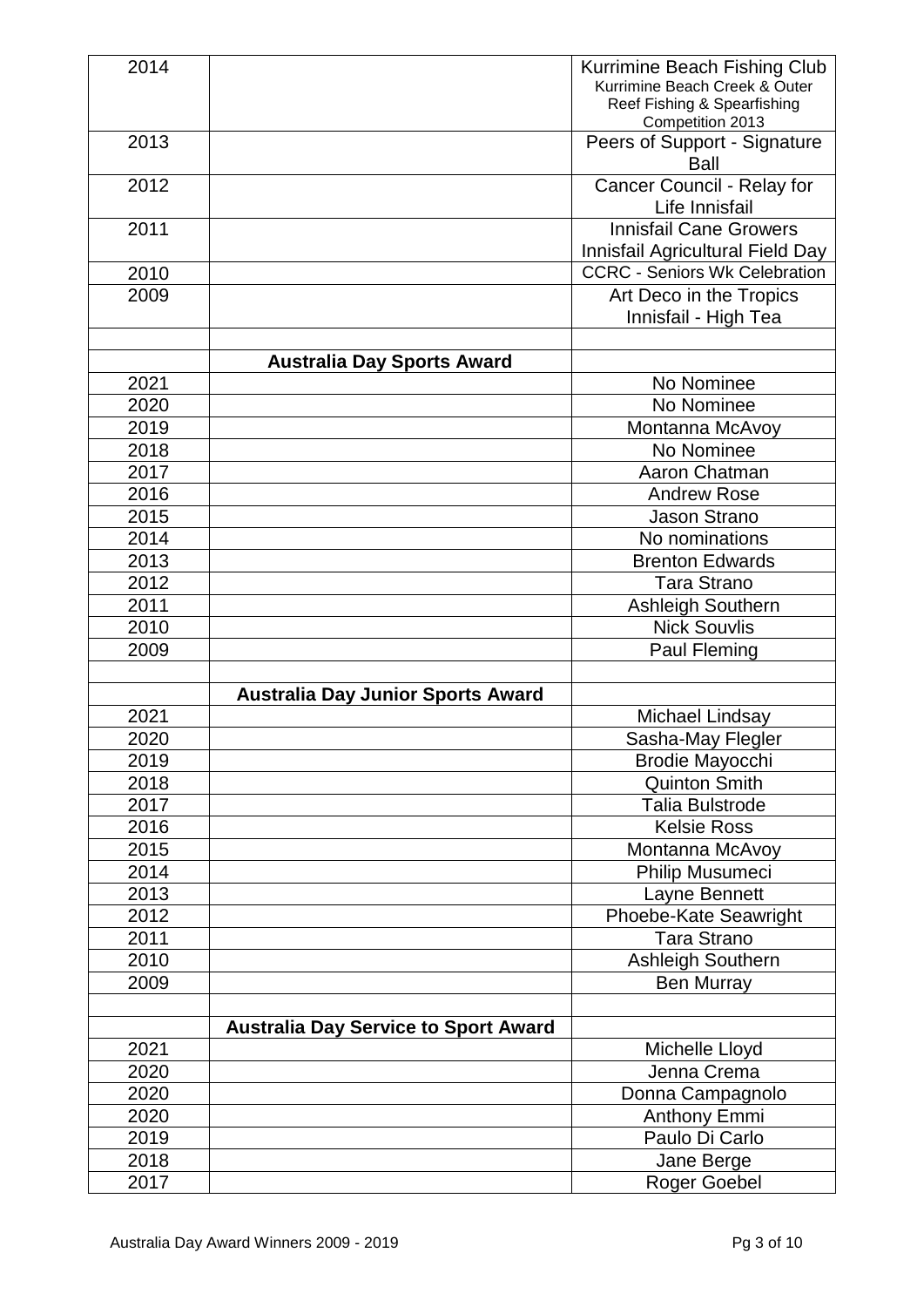| 2014 |                                             | Kurrimine Beach Fishing Club<br>Kurrimine Beach Creek & Outer<br>Reef Fishing & Spearfishing<br>Competition 2013 |
|------|---------------------------------------------|------------------------------------------------------------------------------------------------------------------|
| 2013 |                                             | Peers of Support - Signature<br>Ball                                                                             |
| 2012 |                                             | Cancer Council - Relay for<br>Life Innisfail                                                                     |
| 2011 |                                             | <b>Innisfail Cane Growers</b><br>Innisfail Agricultural Field Day                                                |
| 2010 |                                             | <b>CCRC - Seniors Wk Celebration</b>                                                                             |
| 2009 |                                             | Art Deco in the Tropics<br>Innisfail - High Tea                                                                  |
|      |                                             |                                                                                                                  |
|      | <b>Australia Day Sports Award</b>           |                                                                                                                  |
| 2021 |                                             | No Nominee                                                                                                       |
| 2020 |                                             | No Nominee                                                                                                       |
| 2019 |                                             | Montanna McAvoy                                                                                                  |
| 2018 |                                             | No Nominee                                                                                                       |
| 2017 |                                             | Aaron Chatman                                                                                                    |
| 2016 |                                             | <b>Andrew Rose</b>                                                                                               |
| 2015 |                                             | <b>Jason Strano</b>                                                                                              |
| 2014 |                                             | No nominations                                                                                                   |
| 2013 |                                             | <b>Brenton Edwards</b>                                                                                           |
| 2012 |                                             | <b>Tara Strano</b>                                                                                               |
| 2011 |                                             | Ashleigh Southern                                                                                                |
| 2010 |                                             | <b>Nick Souvlis</b>                                                                                              |
| 2009 |                                             | Paul Fleming                                                                                                     |
|      | <b>Australia Day Junior Sports Award</b>    |                                                                                                                  |
| 2021 |                                             | Michael Lindsay                                                                                                  |
| 2020 |                                             | Sasha-May Flegler                                                                                                |
| 2019 |                                             | Brodie Mayocchi                                                                                                  |
| 2018 |                                             | <b>Quinton Smith</b>                                                                                             |
| 2017 |                                             | <b>Talia Bulstrode</b>                                                                                           |
| 2016 |                                             | <b>Kelsie Ross</b>                                                                                               |
| 2015 |                                             | Montanna McAvoy                                                                                                  |
| 2014 |                                             | Philip Musumeci                                                                                                  |
| 2013 |                                             | Layne Bennett                                                                                                    |
| 2012 |                                             | Phoebe-Kate Seawright                                                                                            |
| 2011 |                                             | <b>Tara Strano</b>                                                                                               |
| 2010 |                                             | Ashleigh Southern                                                                                                |
| 2009 |                                             | <b>Ben Murray</b>                                                                                                |
|      |                                             |                                                                                                                  |
|      | <b>Australia Day Service to Sport Award</b> |                                                                                                                  |
| 2021 |                                             | Michelle Lloyd                                                                                                   |
| 2020 |                                             | Jenna Crema                                                                                                      |
| 2020 |                                             | Donna Campagnolo                                                                                                 |
| 2020 |                                             | <b>Anthony Emmi</b>                                                                                              |
| 2019 |                                             | Paulo Di Carlo                                                                                                   |
| 2018 |                                             | Jane Berge                                                                                                       |
| 2017 |                                             | <b>Roger Goebel</b>                                                                                              |
|      |                                             |                                                                                                                  |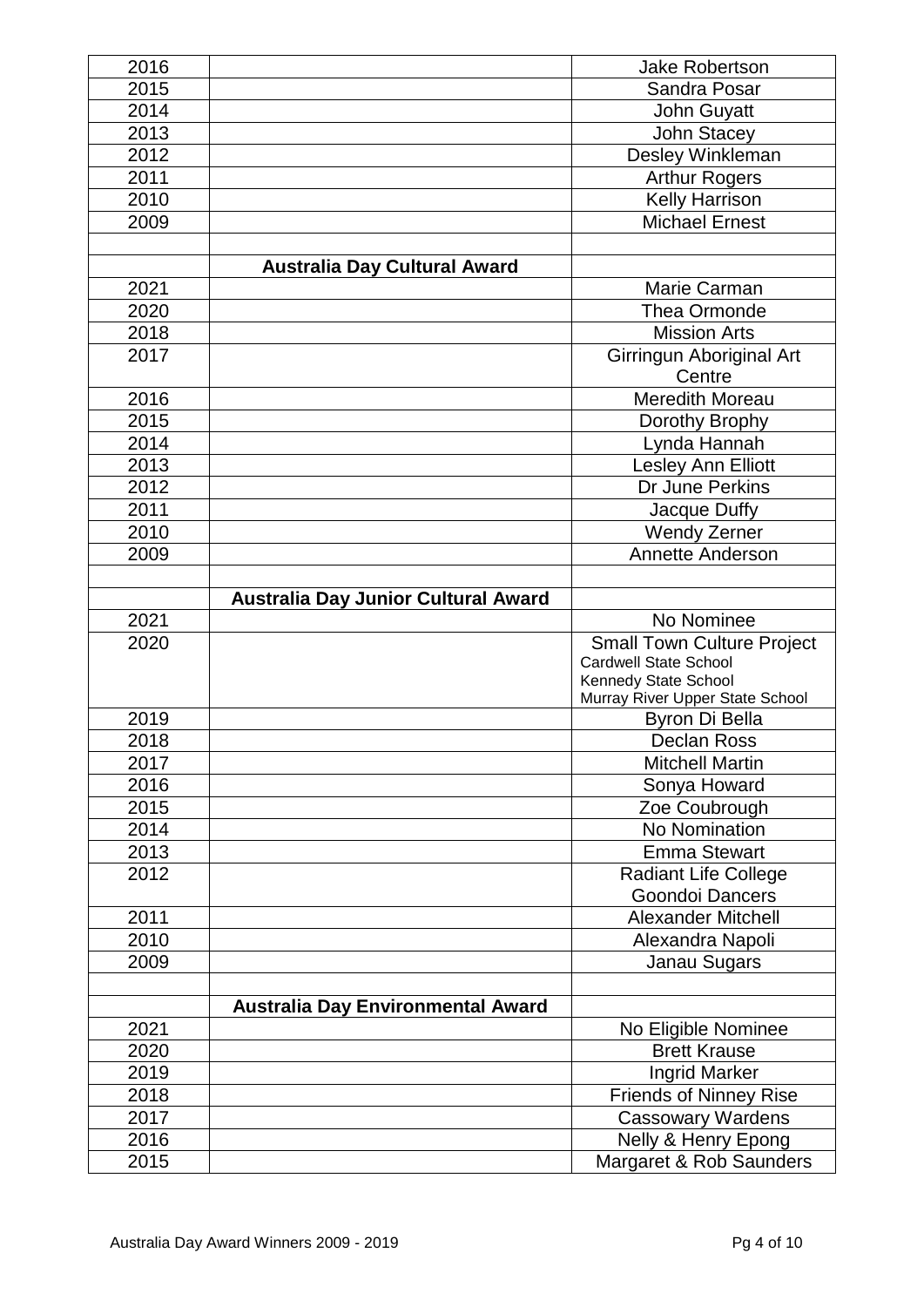|      |                                            | <b>Jake Robertson</b>             |
|------|--------------------------------------------|-----------------------------------|
| 2015 |                                            | Sandra Posar                      |
| 2014 |                                            | John Guyatt                       |
| 2013 |                                            | <b>John Stacey</b>                |
| 2012 |                                            | Desley Winkleman                  |
| 2011 |                                            | <b>Arthur Rogers</b>              |
| 2010 |                                            | Kelly Harrison                    |
| 2009 |                                            | <b>Michael Ernest</b>             |
|      |                                            |                                   |
|      | <b>Australia Day Cultural Award</b>        |                                   |
| 2021 |                                            | Marie Carman                      |
| 2020 |                                            | Thea Ormonde                      |
| 2018 |                                            | <b>Mission Arts</b>               |
| 2017 |                                            | Girringun Aboriginal Art          |
|      |                                            | Centre                            |
| 2016 |                                            | Meredith Moreau                   |
| 2015 |                                            | Dorothy Brophy                    |
| 2014 |                                            | Lynda Hannah                      |
| 2013 |                                            | Lesley Ann Elliott                |
| 2012 |                                            | Dr June Perkins                   |
| 2011 |                                            | Jacque Duffy                      |
| 2010 |                                            | <b>Wendy Zerner</b>               |
| 2009 |                                            | <b>Annette Anderson</b>           |
|      |                                            |                                   |
|      | <b>Australia Day Junior Cultural Award</b> |                                   |
| 2021 |                                            | No Nominee                        |
| 2020 |                                            | <b>Small Town Culture Project</b> |
|      |                                            | <b>Cardwell State School</b>      |
|      |                                            |                                   |
|      |                                            | Kennedy State School              |
|      |                                            | Murray River Upper State School   |
| 2019 |                                            | <b>Byron Di Bella</b>             |
| 2018 |                                            | <b>Declan Ross</b>                |
| 2017 |                                            | <b>Mitchell Martin</b>            |
| 2016 |                                            | Sonya Howard                      |
| 2015 |                                            | Zoe Coubrough                     |
| 2014 |                                            | No Nomination                     |
| 2013 |                                            | <b>Emma Stewart</b>               |
| 2012 |                                            | <b>Radiant Life College</b>       |
|      |                                            | Goondoi Dancers                   |
| 2011 |                                            | <b>Alexander Mitchell</b>         |
| 2010 |                                            | Alexandra Napoli                  |
| 2009 |                                            | Janau Sugars                      |
|      | <b>Australia Day Environmental Award</b>   |                                   |
| 2021 |                                            | No Eligible Nominee               |
| 2020 |                                            | <b>Brett Krause</b>               |
| 2019 |                                            | Ingrid Marker                     |
| 2018 |                                            | <b>Friends of Ninney Rise</b>     |
| 2017 |                                            | Cassowary Wardens                 |
| 2016 |                                            | Nelly & Henry Epong               |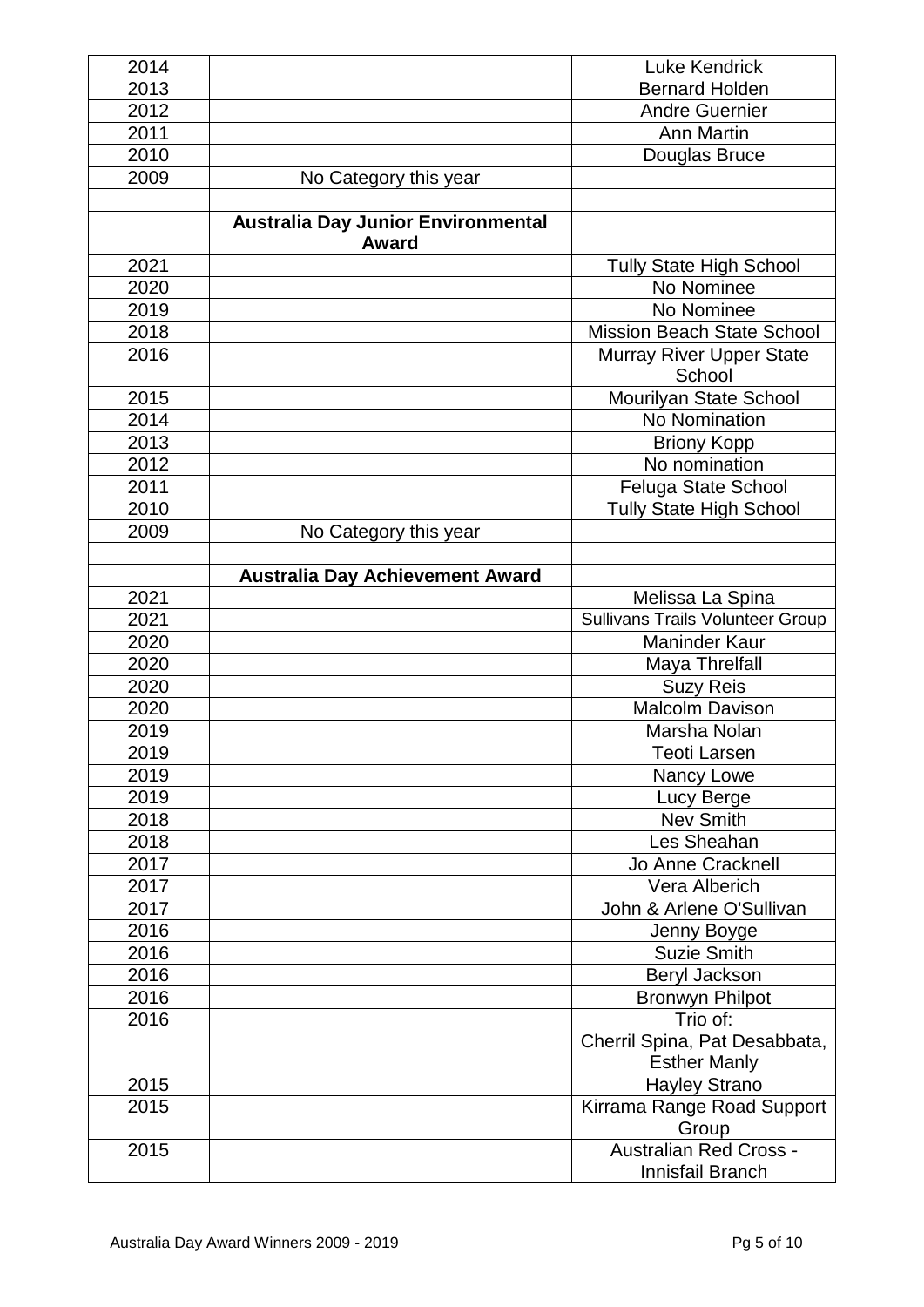| 2014 |                                           | <b>Luke Kendrick</b>                    |
|------|-------------------------------------------|-----------------------------------------|
| 2013 |                                           | <b>Bernard Holden</b>                   |
| 2012 |                                           | <b>Andre Guernier</b>                   |
| 2011 |                                           | Ann Martin                              |
| 2010 |                                           | Douglas Bruce                           |
| 2009 | No Category this year                     |                                         |
|      |                                           |                                         |
|      | <b>Australia Day Junior Environmental</b> |                                         |
|      | <b>Award</b>                              |                                         |
| 2021 |                                           | <b>Tully State High School</b>          |
| 2020 |                                           | No Nominee                              |
| 2019 |                                           | No Nominee                              |
| 2018 |                                           | <b>Mission Beach State School</b>       |
| 2016 |                                           | <b>Murray River Upper State</b>         |
|      |                                           | School                                  |
| 2015 |                                           | Mourilyan State School                  |
| 2014 |                                           | No Nomination                           |
| 2013 |                                           | <b>Briony Kopp</b>                      |
| 2012 |                                           | No nomination                           |
| 2011 |                                           | Feluga State School                     |
| 2010 |                                           | <b>Tully State High School</b>          |
| 2009 | No Category this year                     |                                         |
|      |                                           |                                         |
|      | <b>Australia Day Achievement Award</b>    |                                         |
| 2021 |                                           | Melissa La Spina                        |
| 2021 |                                           | <b>Sullivans Trails Volunteer Group</b> |
| 2020 |                                           | <b>Maninder Kaur</b>                    |
| 2020 |                                           | Maya Threlfall                          |
| 2020 |                                           | <b>Suzy Reis</b>                        |
| 2020 |                                           | <b>Malcolm Davison</b>                  |
| 2019 |                                           | Marsha Nolan                            |
| 2019 |                                           | <b>Teoti Larsen</b>                     |
| 2019 |                                           | Nancy Lowe                              |
| 2019 |                                           | Lucy Berge                              |
| 2018 |                                           | <b>Nev Smith</b>                        |
| 2018 |                                           | Les Sheahan                             |
| 2017 |                                           | Jo Anne Cracknell                       |
| 2017 |                                           | Vera Alberich                           |
| 2017 |                                           | John & Arlene O'Sullivan                |
| 2016 |                                           | Jenny Boyge                             |
| 2016 |                                           | <b>Suzie Smith</b>                      |
| 2016 |                                           | Beryl Jackson                           |
| 2016 |                                           | <b>Bronwyn Philpot</b>                  |
| 2016 |                                           | Trio of:                                |
|      |                                           | Cherril Spina, Pat Desabbata,           |
|      |                                           | <b>Esther Manly</b>                     |
| 2015 |                                           | <b>Hayley Strano</b>                    |
| 2015 |                                           | Kirrama Range Road Support              |
|      |                                           | Group                                   |
| 2015 |                                           | <b>Australian Red Cross -</b>           |
|      |                                           | Innisfail Branch                        |
|      |                                           |                                         |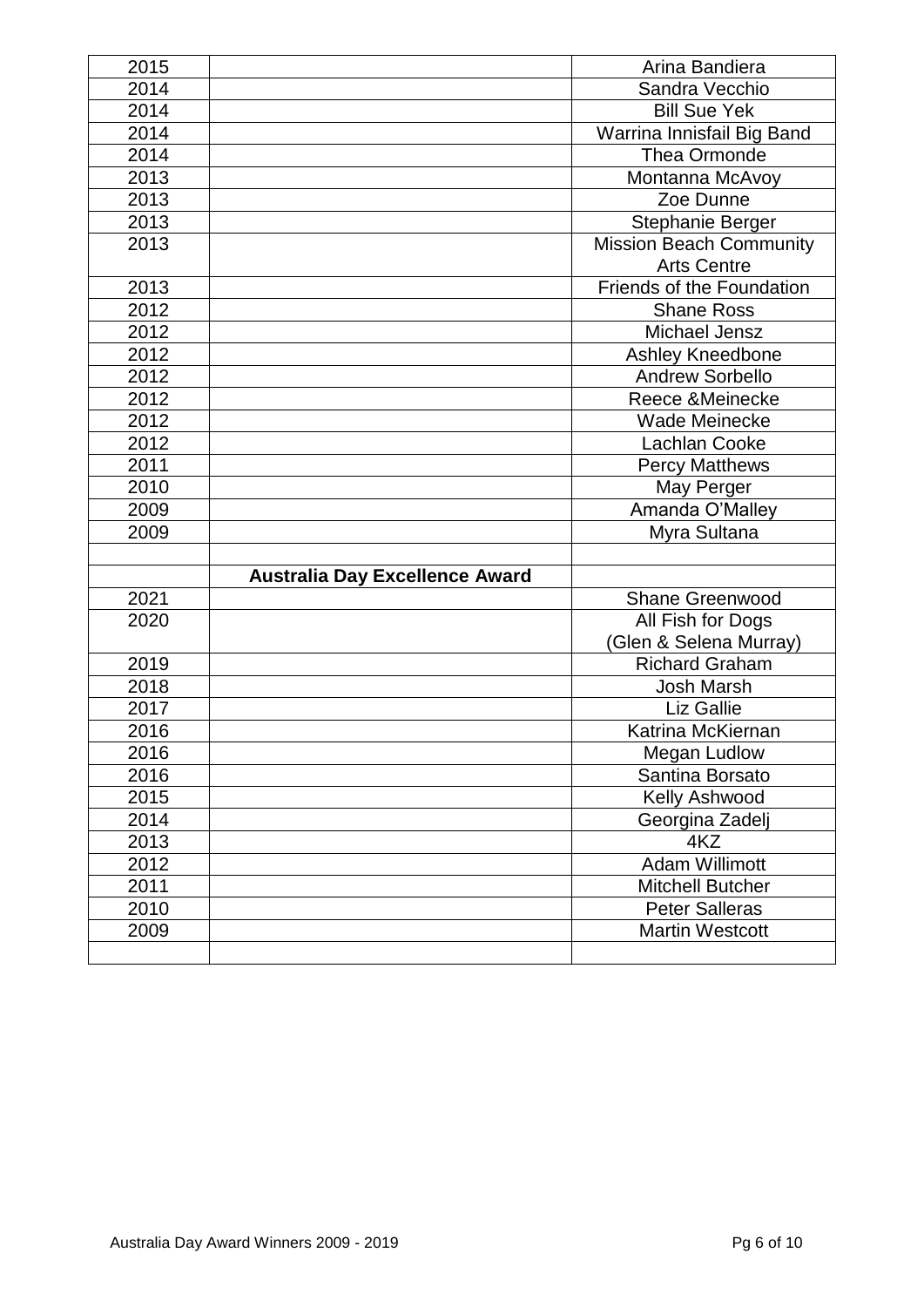| 2015 |                                       | Arina Bandiera                 |
|------|---------------------------------------|--------------------------------|
| 2014 |                                       | Sandra Vecchio                 |
| 2014 |                                       | <b>Bill Sue Yek</b>            |
| 2014 |                                       | Warrina Innisfail Big Band     |
| 2014 |                                       | Thea Ormonde                   |
| 2013 |                                       | Montanna McAvoy                |
| 2013 |                                       | Zoe Dunne                      |
| 2013 |                                       | Stephanie Berger               |
| 2013 |                                       | <b>Mission Beach Community</b> |
|      |                                       | <b>Arts Centre</b>             |
| 2013 |                                       | Friends of the Foundation      |
| 2012 |                                       | <b>Shane Ross</b>              |
| 2012 |                                       | Michael Jensz                  |
| 2012 |                                       | Ashley Kneedbone               |
| 2012 |                                       | <b>Andrew Sorbello</b>         |
| 2012 |                                       | Reece &Meinecke                |
| 2012 |                                       | <b>Wade Meinecke</b>           |
| 2012 |                                       | Lachlan Cooke                  |
| 2011 |                                       | <b>Percy Matthews</b>          |
| 2010 |                                       | May Perger                     |
| 2009 |                                       | Amanda O'Malley                |
| 2009 |                                       | Myra Sultana                   |
|      |                                       |                                |
|      | <b>Australia Day Excellence Award</b> |                                |
| 2021 |                                       | <b>Shane Greenwood</b>         |
| 2020 |                                       | All Fish for Dogs              |
|      |                                       | (Glen & Selena Murray)         |
| 2019 |                                       | <b>Richard Graham</b>          |
| 2018 |                                       | <b>Josh Marsh</b>              |
| 2017 |                                       | Liz Gallie                     |
| 2016 |                                       | Katrina McKiernan              |
| 2016 |                                       | Megan Ludlow                   |
| 2016 |                                       | Santina Borsato                |
| 2015 |                                       | Kelly Ashwood                  |
| 2014 |                                       | Georgina Zadelj                |
| 2013 |                                       | 4KZ                            |
| 2012 |                                       | <b>Adam Willimott</b>          |
| 2011 |                                       | <b>Mitchell Butcher</b>        |
| 2010 |                                       | <b>Peter Salleras</b>          |
| 2009 |                                       | <b>Martin Westcott</b>         |
|      |                                       |                                |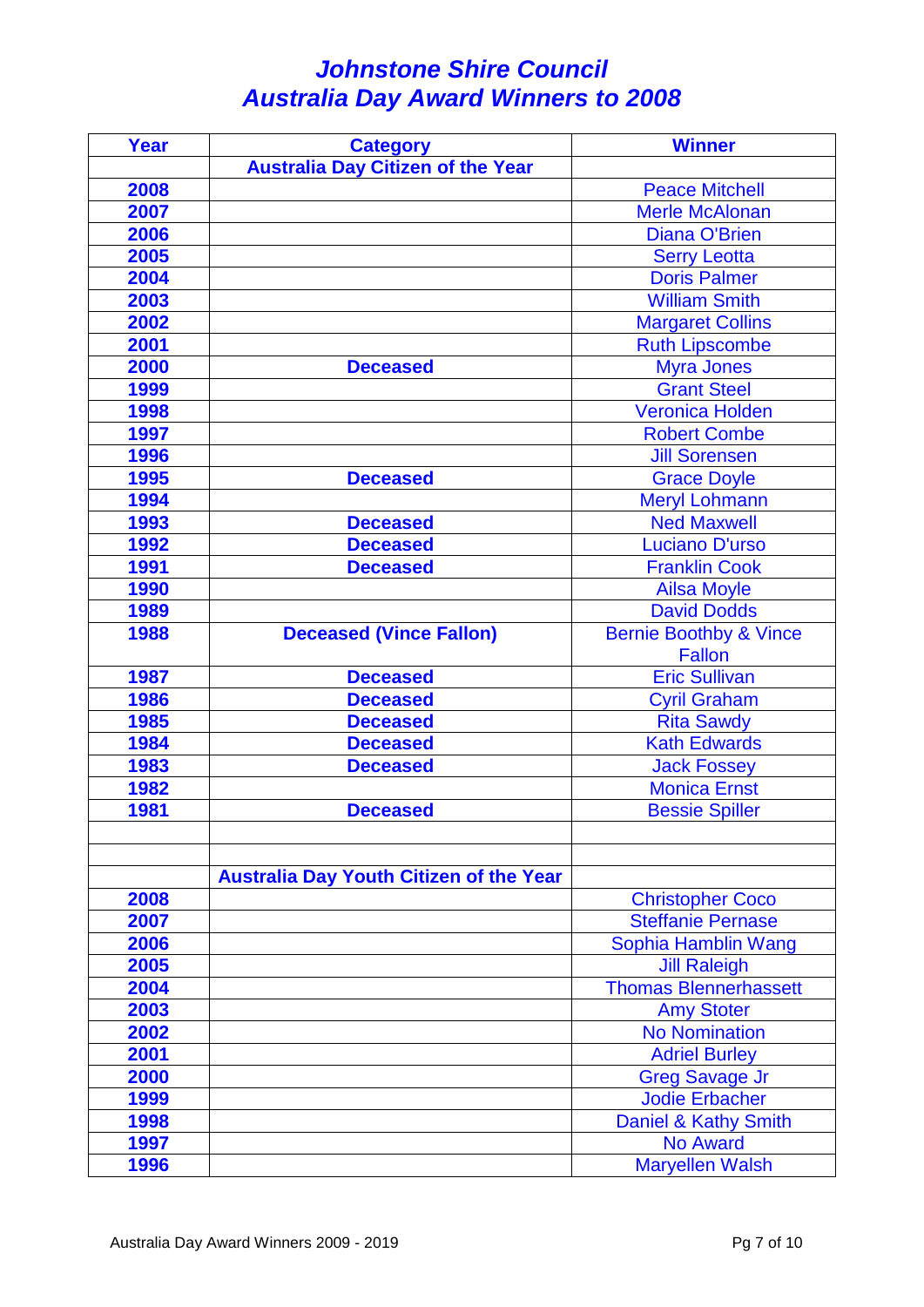## *Johnstone Shire Council Australia Day Award Winners to 2008*

| Year | <b>Category</b>                                | <b>Winner</b>                     |
|------|------------------------------------------------|-----------------------------------|
|      | <b>Australia Day Citizen of the Year</b>       |                                   |
| 2008 |                                                | <b>Peace Mitchell</b>             |
| 2007 |                                                | <b>Merle McAlonan</b>             |
| 2006 |                                                | <b>Diana O'Brien</b>              |
| 2005 |                                                | <b>Serry Leotta</b>               |
| 2004 |                                                | <b>Doris Palmer</b>               |
| 2003 |                                                | <b>William Smith</b>              |
| 2002 |                                                | <b>Margaret Collins</b>           |
| 2001 |                                                | <b>Ruth Lipscombe</b>             |
| 2000 | <b>Deceased</b>                                | <b>Myra Jones</b>                 |
| 1999 |                                                | <b>Grant Steel</b>                |
| 1998 |                                                | <b>Veronica Holden</b>            |
| 1997 |                                                | <b>Robert Combe</b>               |
| 1996 |                                                | <b>Jill Sorensen</b>              |
| 1995 | <b>Deceased</b>                                | <b>Grace Doyle</b>                |
| 1994 |                                                | <b>Meryl Lohmann</b>              |
| 1993 | <b>Deceased</b>                                | <b>Ned Maxwell</b>                |
| 1992 | <b>Deceased</b>                                | <b>Luciano D'urso</b>             |
| 1991 | <b>Deceased</b>                                | <b>Franklin Cook</b>              |
| 1990 |                                                | <b>Ailsa Moyle</b>                |
| 1989 |                                                | <b>David Dodds</b>                |
| 1988 | <b>Deceased (Vince Fallon)</b>                 | <b>Bernie Boothby &amp; Vince</b> |
|      |                                                | <b>Fallon</b>                     |
| 1987 | <b>Deceased</b>                                | <b>Eric Sullivan</b>              |
| 1986 | <b>Deceased</b>                                | <b>Cyril Graham</b>               |
| 1985 | <b>Deceased</b>                                | <b>Rita Sawdy</b>                 |
| 1984 | <b>Deceased</b>                                | <b>Kath Edwards</b>               |
| 1983 | <b>Deceased</b>                                | <b>Jack Fossey</b>                |
| 1982 |                                                | <b>Monica Ernst</b>               |
| 1981 | <b>Deceased</b>                                | <b>Bessie Spiller</b>             |
|      |                                                |                                   |
|      |                                                |                                   |
|      | <b>Australia Day Youth Citizen of the Year</b> |                                   |
| 2008 |                                                | <b>Christopher Coco</b>           |
| 2007 |                                                | <b>Steffanie Pernase</b>          |
| 2006 |                                                | Sophia Hamblin Wang               |
| 2005 |                                                | <b>Jill Raleigh</b>               |
| 2004 |                                                | <b>Thomas Blennerhassett</b>      |
| 2003 |                                                | <b>Amy Stoter</b>                 |
| 2002 |                                                | <b>No Nomination</b>              |
| 2001 |                                                | <b>Adriel Burley</b>              |
| 2000 |                                                | <b>Greg Savage Jr</b>             |
| 1999 |                                                | <b>Jodie Erbacher</b>             |
| 1998 |                                                | Daniel & Kathy Smith              |
| 1997 |                                                | <b>No Award</b>                   |
| 1996 |                                                | <b>Maryellen Walsh</b>            |
|      |                                                |                                   |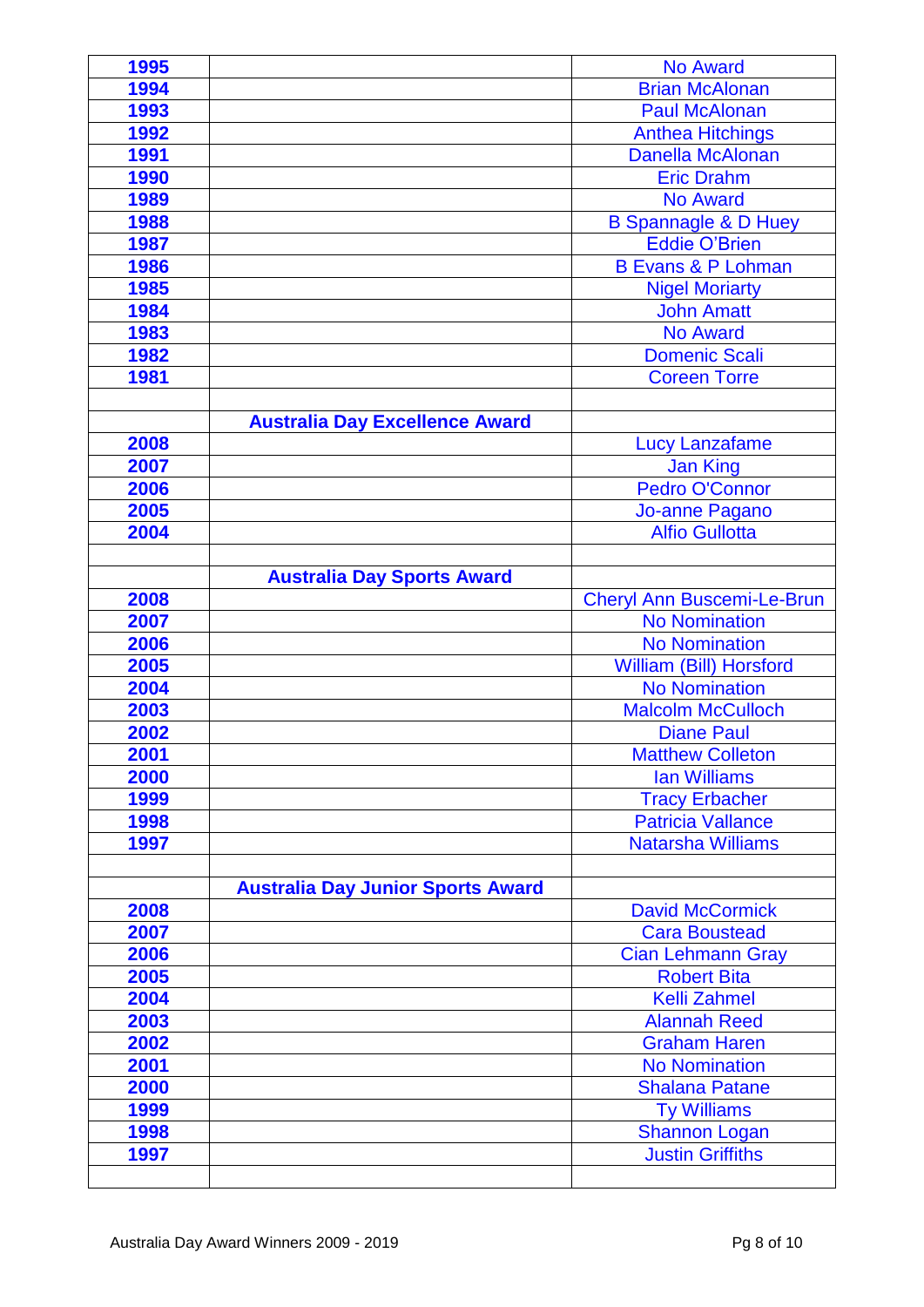| 1995 |                                          | <b>No Award</b>                   |
|------|------------------------------------------|-----------------------------------|
| 1994 |                                          | <b>Brian McAlonan</b>             |
| 1993 |                                          | <b>Paul McAlonan</b>              |
| 1992 |                                          | <b>Anthea Hitchings</b>           |
| 1991 |                                          | <b>Danella McAlonan</b>           |
| 1990 |                                          | <b>Eric Drahm</b>                 |
| 1989 |                                          | <b>No Award</b>                   |
| 1988 |                                          | <b>B Spannagle &amp; D Huey</b>   |
| 1987 |                                          | <b>Eddie O'Brien</b>              |
| 1986 |                                          | <b>B Evans &amp; P Lohman</b>     |
| 1985 |                                          | <b>Nigel Moriarty</b>             |
| 1984 |                                          | <b>John Amatt</b>                 |
| 1983 |                                          | No Award                          |
| 1982 |                                          | <b>Domenic Scali</b>              |
| 1981 |                                          | <b>Coreen Torre</b>               |
|      |                                          |                                   |
|      | <b>Australia Day Excellence Award</b>    |                                   |
| 2008 |                                          | <b>Lucy Lanzafame</b>             |
| 2007 |                                          | <b>Jan King</b>                   |
| 2006 |                                          | Pedro O'Connor                    |
| 2005 |                                          | Jo-anne Pagano                    |
| 2004 |                                          | <b>Alfio Gullotta</b>             |
|      |                                          |                                   |
|      | <b>Australia Day Sports Award</b>        |                                   |
| 2008 |                                          | <b>Cheryl Ann Buscemi-Le-Brun</b> |
| 2007 |                                          | <b>No Nomination</b>              |
| 2006 |                                          | <b>No Nomination</b>              |
| 2005 |                                          | William (Bill) Horsford           |
| 2004 |                                          | <b>No Nomination</b>              |
| 2003 |                                          | <b>Malcolm McCulloch</b>          |
| 2002 |                                          | <b>Diane Paul</b>                 |
| 2001 |                                          | <b>Matthew Colleton</b>           |
| 2000 |                                          | <b>lan Williams</b>               |
| 1999 |                                          | <b>Tracy Erbacher</b>             |
| 1998 |                                          | <b>Patricia Vallance</b>          |
| 1997 |                                          | <b>Natarsha Williams</b>          |
|      |                                          |                                   |
|      | <b>Australia Day Junior Sports Award</b> |                                   |
| 2008 |                                          | <b>David McCormick</b>            |
| 2007 |                                          | <b>Cara Boustead</b>              |
| 2006 |                                          | <b>Cian Lehmann Gray</b>          |
| 2005 |                                          | <b>Robert Bita</b>                |
| 2004 |                                          | <b>Kelli Zahmel</b>               |
| 2003 |                                          | <b>Alannah Reed</b>               |
| 2002 |                                          | <b>Graham Haren</b>               |
| 2001 |                                          | <b>No Nomination</b>              |
| 2000 |                                          | <b>Shalana Patane</b>             |
| 1999 |                                          | <b>Ty Williams</b>                |
| 1998 |                                          | <b>Shannon Logan</b>              |
| 1997 |                                          | <b>Justin Griffiths</b>           |
|      |                                          |                                   |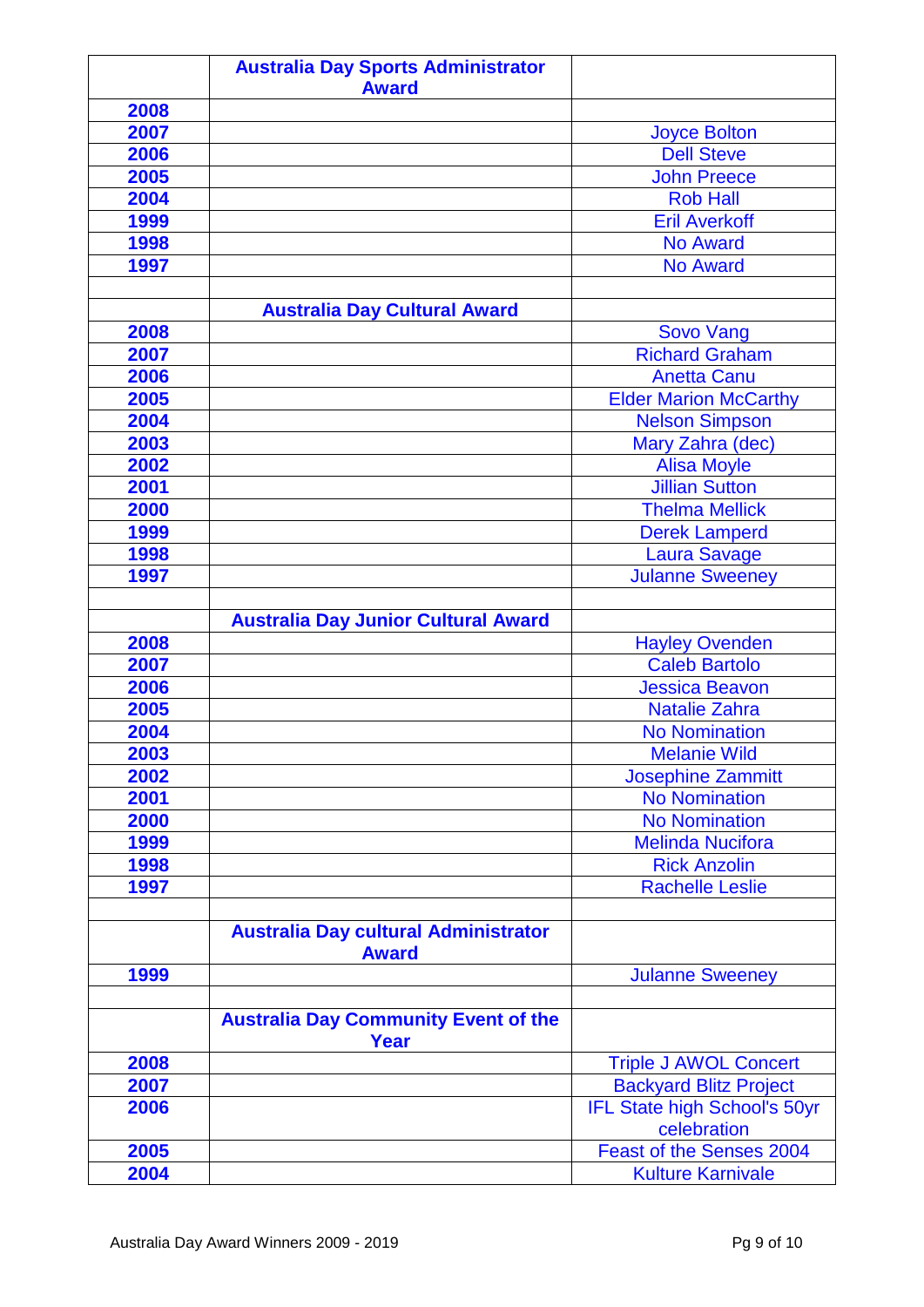|              | <b>Australia Day Sports Administrator</b>                   |                                          |
|--------------|-------------------------------------------------------------|------------------------------------------|
|              | <b>Award</b>                                                |                                          |
| 2008<br>2007 |                                                             |                                          |
|              |                                                             | <b>Joyce Bolton</b><br><b>Dell Steve</b> |
| 2006         |                                                             |                                          |
| 2005         |                                                             | <b>John Preece</b>                       |
| 2004         |                                                             | <b>Rob Hall</b>                          |
| 1999         |                                                             | <b>Eril Averkoff</b>                     |
| 1998         |                                                             | <b>No Award</b>                          |
| 1997         |                                                             | <b>No Award</b>                          |
|              |                                                             |                                          |
|              | <b>Australia Day Cultural Award</b>                         |                                          |
| 2008         |                                                             | <b>Sovo Vang</b>                         |
| 2007         |                                                             | <b>Richard Graham</b>                    |
| 2006         |                                                             | <b>Anetta Canu</b>                       |
| 2005         |                                                             | <b>Elder Marion McCarthy</b>             |
| 2004         |                                                             | <b>Nelson Simpson</b>                    |
| 2003         |                                                             | Mary Zahra (dec)                         |
| 2002         |                                                             | <b>Alisa Moyle</b>                       |
| 2001         |                                                             | <b>Jillian Sutton</b>                    |
| 2000         |                                                             | <b>Thelma Mellick</b>                    |
| 1999         |                                                             | <b>Derek Lamperd</b>                     |
| 1998         |                                                             | <b>Laura Savage</b>                      |
| 1997         |                                                             | <b>Julanne Sweeney</b>                   |
|              |                                                             |                                          |
|              | <b>Australia Day Junior Cultural Award</b>                  |                                          |
| 2008         |                                                             | <b>Hayley Ovenden</b>                    |
| 2007         |                                                             | <b>Caleb Bartolo</b>                     |
| 2006         |                                                             | <b>Jessica Beavon</b>                    |
| 2005         |                                                             | <b>Natalie Zahra</b>                     |
| 2004         |                                                             | <b>No Nomination</b>                     |
| 2003         |                                                             | <b>Melanie Wild</b>                      |
| 2002         |                                                             | <b>Josephine Zammitt</b>                 |
| 2001         |                                                             | <b>No Nomination</b>                     |
| 2000         |                                                             | <b>No Nomination</b>                     |
| 1999         |                                                             | Melinda Nucifora                         |
| 1998         |                                                             | <b>Rick Anzolin</b>                      |
| 1997         |                                                             | <b>Rachelle Leslie</b>                   |
|              |                                                             |                                          |
|              | <b>Australia Day cultural Administrator</b><br><b>Award</b> |                                          |
| 1999         |                                                             | <b>Julanne Sweeney</b>                   |
|              |                                                             |                                          |
|              | <b>Australia Day Community Event of the</b><br><b>Year</b>  |                                          |
| 2008         |                                                             | <b>Triple J AWOL Concert</b>             |
| 2007         |                                                             | <b>Backyard Blitz Project</b>            |
| 2006         |                                                             | IFL State high School's 50yr             |
|              |                                                             | celebration                              |
| 2005         |                                                             | Feast of the Senses 2004                 |
| 2004         |                                                             | <b>Kulture Karnivale</b>                 |